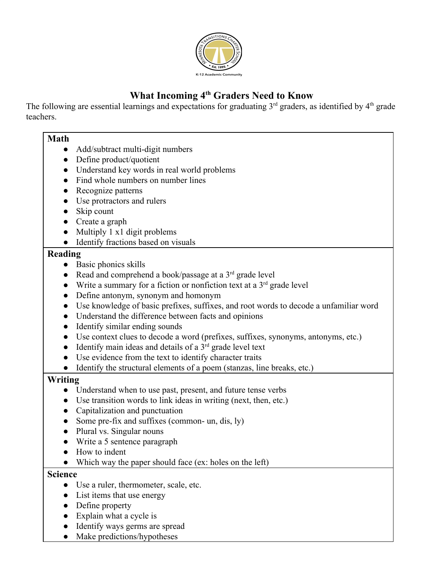

## **What Incoming 4 th Graders Need to Know**

The following are essential learnings and expectations for graduating  $3<sup>rd</sup>$  graders, as identified by  $4<sup>th</sup>$  grade teachers.

#### **Math**

- Add/subtract multi-digit numbers
- Define product/quotient
- Understand key words in real world problems
- Find whole numbers on number lines
- Recognize patterns
- Use protractors and rulers
- Skip count
- Create a graph
- Multiply 1 x1 digit problems
- Identify fractions based on visuals

#### **Reading**

- Basic phonics skills
- Read and comprehend a book/passage at a  $3<sup>rd</sup>$  grade level
- Write a summary for a fiction or nonfiction text at a  $3<sup>rd</sup>$  grade level
- Define antonym, synonym and homonym
- Use knowledge of basic prefixes, suffixes, and root words to decode a unfamiliar word
- Understand the difference between facts and opinions
- Identify similar ending sounds
- Use context clues to decode a word (prefixes, suffixes, synonyms, antonyms, etc.)
- $\bullet$  Identify main ideas and details of a  $3<sup>rd</sup>$  grade level text
- Use evidence from the text to identify character traits
- Identify the structural elements of a poem (stanzas, line breaks, etc.)

### **Writing**

- Understand when to use past, present, and future tense verbs
- Use transition words to link ideas in writing (next, then, etc.)
- Capitalization and punctuation
- Some pre-fix and suffixes (common- un, dis,  $|y\rangle$ )
- Plural vs. Singular nouns
- Write a 5 sentence paragraph
- How to indent
- Which way the paper should face (ex: holes on the left)

#### **Science**

- Use a ruler, thermometer, scale, etc.
- List items that use energy
- Define property
- Explain what a cycle is
- Identify ways germs are spread
- Make predictions/hypotheses